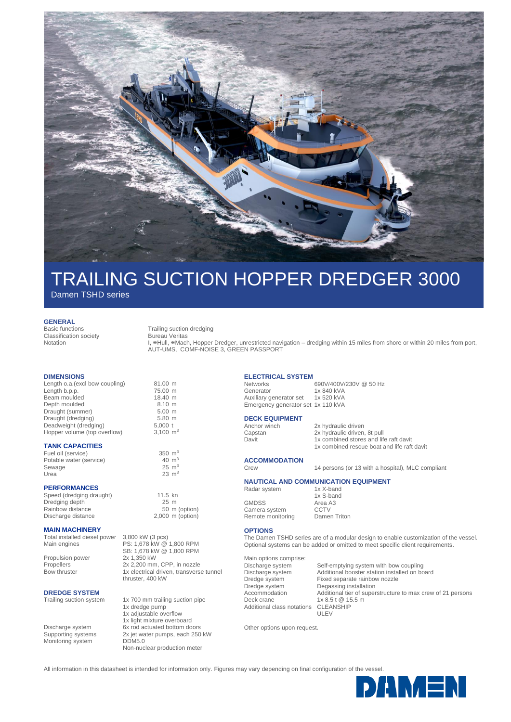

# TRAILING SUCTION HOPPER DREDGER 3000

Damen TSHD series

#### **GENERAL**

Classification society Notation

#### Basic functions Trailing suction dredging

Bureau Veritas

L. #Hull, #Mach, Hopper Dredger, unrestricted navigation – dredging within 15 miles from shore or within 20 miles from port, AUT-UMS, COMF-NOISE 3, GREEN PASSPORT

### **DIMENSIONS**

Length o.a.(excl bow coupling) 81.00 m<br>Length b.p.p. 75.00 m Length b.p.p. son coupling 75.00 m<br>Beam moulded 18.40 m Beam moulded 18.40 m<br>
Depth moulded 8.10 m Depth moulded 8.10 m<br>Draught (summer) 5.00 m Draught (summer) 5.00 m<br>Draught (dredging) 5.80 m Draught (dredging) 5.80 m<br>Deadweight (dredging) 5,000 t Deadweight (dredging) Hopper volume (top overflow) 3,100 m<sup>3</sup>

## **TANK CAPACITIES**

Fuel oil (service) 350 m<sup>3</sup> Potable water (service)  $40 \text{ m}^3$ Sewage  $25 \text{ m}^3$ <br>Urea  $23 \text{ m}^3$ 

# **PERFORMANCES**

Speed (dredging draught) 11.5 kn<br>Dredging depth 125 m Dredging depth 25 m<br>Rainbow distance 50 m (option) Rainbow distance

### **MAIN MACHINERY**

Total installed diesel power 3,800 kW (3 pcs)<br>Main engines PS: 1,678 kW @ Propulsion power

PS: 1,678 kW @ 1,800 RPM SB: 1,678 kW @ 1,800 RPM<br>2x 1,350 kW Propellers 2x 2,200 mm, CPP, in nozzle Bow thruster 1x electrical driven, transverse tunnel

# **DREDGE SYSTEM**<br>Trailing suction system

Monitoring system DDM5.0

Discharge distance 2,000 m (option)

 $23 \text{ m}^3$ 

thruster, 400 kW

1x 700 mm trailing suction pipe 1x dredge pump 1x adjustable overflow 1x light mixture overboard Discharge system 6x rod actuated bottom doors Supporting systems 2x jet water pumps, each 250 kW Non-nuclear production meter

# **ELECTRICAL SYSTEM**

Networks 690V/400V/230V @ 50 Hz<br>Generator 1x 840 kVA 1x 840 kVA<br>1x 520 kVA Auxiliary generator set Emergency generator set 1x 110 kVA

# **DECK EQUIPMENT**<br>Anchor winch

Anchor winch 2x hydraulic driven<br>
Capstan 2x hydraulic driven Capstan 2x hydraulic driven, 8t pull<br>
Davit 1x combined stores and life 1x combined stores and life raft davit 1x combined rescue boat and life raft davit

# **ACCOMMODATION**

Crew 14 persons (or 13 with a hospital), MLC compliant

# **NAUTICAL AND COMMUNICATION EQUIPMENT**

1x S-band

Radar system 1x X-band

GMDSS Area A3<br>Camera system CCTV Camera system Remote monitoring Damen Triton

## **OPTIONS**

The Damen TSHD series are of a modular design to enable customization of the vessel. Optional systems can be added or omitted to meet specific client requirements.

Main options comprise: Additional class notations

Discharge system Self-emptying system with bow coupling<br>Discharge system Additional booster station installed on bo Discharge system Additional booster station installed on board Fixed separate rainbow nozzle Dredge system Degassing installation Accommodation Additional tier of superstructure to max crew of 21 persons Deck crane 1x 8.5 t @ 15.5 m<br>Additional class notations CLEANSHIP ULEV

Other options upon request.

All information in this datasheet is intended for information only. Figures may vary depending on final configuration of the vessel.